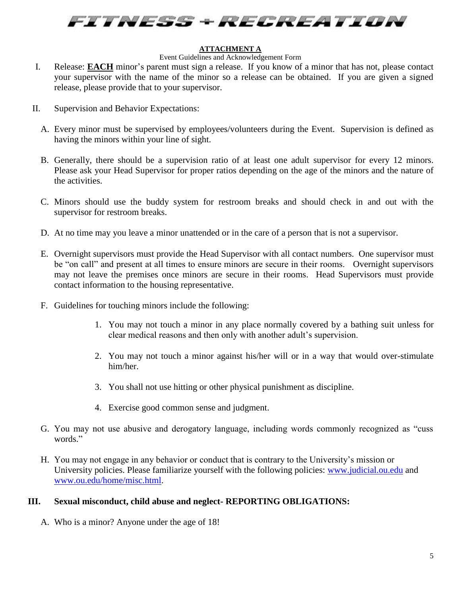

## **ATTACHMENT A**

## Event Guidelines and Acknowledgement Form

- I. Release: **EACH** minor's parent must sign a release. If you know of a minor that has not, please contact your supervisor with the name of the minor so a release can be obtained. If you are given a signed release, please provide that to your supervisor.
- II. Supervision and Behavior Expectations:
	- A. Every minor must be supervised by employees/volunteers during the Event. Supervision is defined as having the minors within your line of sight.
	- B. Generally, there should be a supervision ratio of at least one adult supervisor for every 12 minors. Please ask your Head Supervisor for proper ratios depending on the age of the minors and the nature of the activities.
	- C. Minors should use the buddy system for restroom breaks and should check in and out with the supervisor for restroom breaks.
	- D. At no time may you leave a minor unattended or in the care of a person that is not a supervisor.
	- E. Overnight supervisors must provide the Head Supervisor with all contact numbers. One supervisor must be "on call" and present at all times to ensure minors are secure in their rooms. Overnight supervisors may not leave the premises once minors are secure in their rooms. Head Supervisors must provide contact information to the housing representative.
	- F. Guidelines for touching minors include the following:
		- 1. You may not touch a minor in any place normally covered by a bathing suit unless for clear medical reasons and then only with another adult's supervision.
		- 2. You may not touch a minor against his/her will or in a way that would over-stimulate him/her.
		- 3. You shall not use hitting or other physical punishment as discipline.
		- 4. Exercise good common sense and judgment.
	- G. You may not use abusive and derogatory language, including words commonly recognized as "cuss words."
	- H. You may not engage in any behavior or conduct that is contrary to the University's mission or University policies. Please familiarize yourself with the following policies: [www.judicial.ou.edu](http://www.judicial.ou.edu/) and [www.ou.edu/home/misc.html.](http://www.ou.edu/home/misc.html)

## **III. Sexual misconduct, child abuse and neglect- REPORTING OBLIGATIONS:**

A. Who is a minor? Anyone under the age of 18!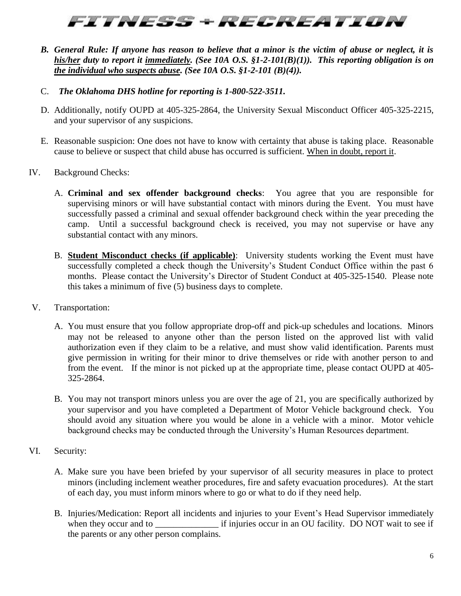## FITNESS + RECREATION

- *B. General Rule: If anyone has reason to believe that a minor is the victim of abuse or neglect, it is his/her duty to report it immediately. (See 10A O.S. §1-2-101(B)(1)). This reporting obligation is on the individual who suspects abuse. (See 10A O.S. §1-2-101 (B)(4)).*
- C. *The Oklahoma DHS hotline for reporting is 1-800-522-3511.*
- D. Additionally, notify OUPD at 405-325-2864, the University Sexual Misconduct Officer 405-325-2215, and your supervisor of any suspicions.
- E. Reasonable suspicion: One does not have to know with certainty that abuse is taking place. Reasonable cause to believe or suspect that child abuse has occurred is sufficient. When in doubt, report it.
- IV. Background Checks:
	- A. **Criminal and sex offender background checks**: You agree that you are responsible for supervising minors or will have substantial contact with minors during the Event. You must have successfully passed a criminal and sexual offender background check within the year preceding the camp. Until a successful background check is received, you may not supervise or have any substantial contact with any minors.
	- B. **Student Misconduct checks (if applicable)**: University students working the Event must have successfully completed a check though the University's Student Conduct Office within the past 6 months. Please contact the University's Director of Student Conduct at 405-325-1540. Please note this takes a minimum of five (5) business days to complete.
- V. Transportation:
	- A. You must ensure that you follow appropriate drop-off and pick-up schedules and locations. Minors may not be released to anyone other than the person listed on the approved list with valid authorization even if they claim to be a relative, and must show valid identification. Parents must give permission in writing for their minor to drive themselves or ride with another person to and from the event. If the minor is not picked up at the appropriate time, please contact OUPD at 405- 325-2864.
	- B. You may not transport minors unless you are over the age of 21, you are specifically authorized by your supervisor and you have completed a Department of Motor Vehicle background check. You should avoid any situation where you would be alone in a vehicle with a minor. Motor vehicle background checks may be conducted through the University's Human Resources department.
- VI. Security:
	- A. Make sure you have been briefed by your supervisor of all security measures in place to protect minors (including inclement weather procedures, fire and safety evacuation procedures). At the start of each day, you must inform minors where to go or what to do if they need help.
	- B. Injuries/Medication: Report all incidents and injuries to your Event's Head Supervisor immediately when they occur and to if injuries occur in an OU facility. DO NOT wait to see if the parents or any other person complains.